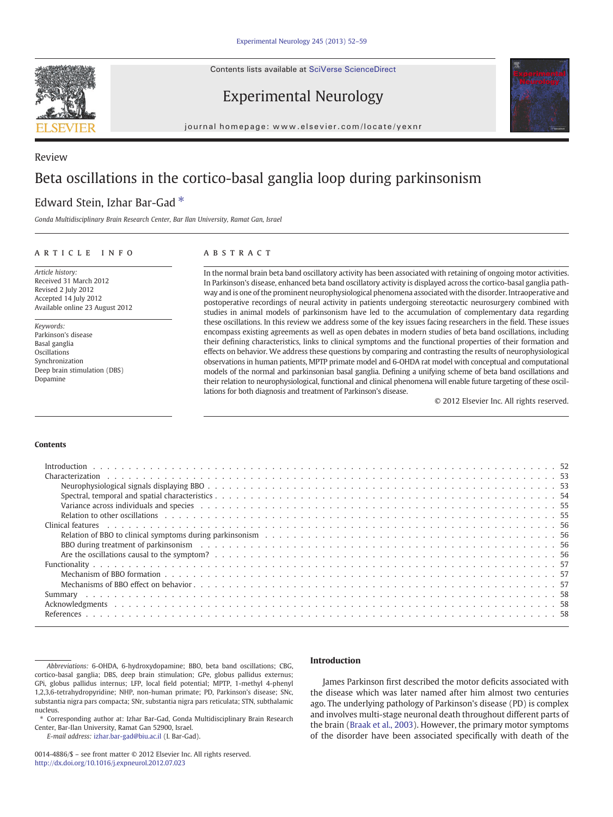Contents lists available at SciVerse ScienceDirect



Review

Experimental Neurology



journal homepage: www.elsevier.com/locate/yexnr

# Beta oscillations in the cortico-basal ganglia loop during parkinsonism

## Edward Stein, Izhar Bar-Gad<sup>\*</sup>

Gonda Multidisciplinary Brain Research Center, Bar Ilan University, Ramat Gan, Israel

#### article info abstract

Article history: Received 31 March 2012 Revised 2 July 2012 Accepted 14 July 2012 Available online 23 August 2012

Keywords: Parkinson's disease Basal ganglia Oscillations Synchronization Deep brain stimulation (DBS) Dopamine

In the normal brain beta band oscillatory activity has been associated with retaining of ongoing motor activities. In Parkinson's disease, enhanced beta band oscillatory activity is displayed across the cortico-basal ganglia pathway and is one of the prominent neurophysiological phenomena associated with the disorder. Intraoperative and postoperative recordings of neural activity in patients undergoing stereotactic neurosurgery combined with studies in animal models of parkinsonism have led to the accumulation of complementary data regarding these oscillations. In this review we address some of the key issues facing researchers in the field. These issues encompass existing agreements as well as open debates in modern studies of beta band oscillations, including their defining characteristics, links to clinical symptoms and the functional properties of their formation and effects on behavior. We address these questions by comparing and contrasting the results of neurophysiological observations in human patients, MPTP primate model and 6-OHDA rat model with conceptual and computational models of the normal and parkinsonian basal ganglia. Defining a unifying scheme of beta band oscillations and their relation to neurophysiological, functional and clinical phenomena will enable future targeting of these oscillations for both diagnosis and treatment of Parkinson's disease.

© 2012 Elsevier Inc. All rights reserved.

#### Contents

E-mail address: [izhar.bar-gad@biu.ac.il](mailto:izhar.bar-gad@biu.ac.il) (I. Bar-Gad).

### Introduction

James Parkinson first described the motor deficits associated with the disease which was later named after him almost two centuries ago. The underlying pathology of Parkinson's disease (PD) is complex and involves multi-stage neuronal death throughout different parts of the brain ([Braak et al., 2003\)](#page-6-0). However, the primary motor symptoms of the disorder have been associated specifically with death of the

Abbreviations: 6-OHDA, 6-hydroxydopamine; BBO, beta band oscillations; CBG, cortico-basal ganglia; DBS, deep brain stimulation; GPe, globus pallidus externus; GPi, globus pallidus internus; LFP, local field potential; MPTP, 1-methyl 4-phenyl 1,2,3,6-tetrahydropyridine; NHP, non-human primate; PD, Parkinson's disease; SNc, substantia nigra pars compacta; SNr, substantia nigra pars reticulata; STN, subthalamic nucleus.

<sup>⁎</sup> Corresponding author at: Izhar Bar-Gad, Gonda Multidisciplinary Brain Research Center, Bar-Ilan University, Ramat Gan 52900, Israel.

<sup>0014-4886/\$</sup> – see front matter © 2012 Elsevier Inc. All rights reserved. <http://dx.doi.org/10.1016/j.expneurol.2012.07.023>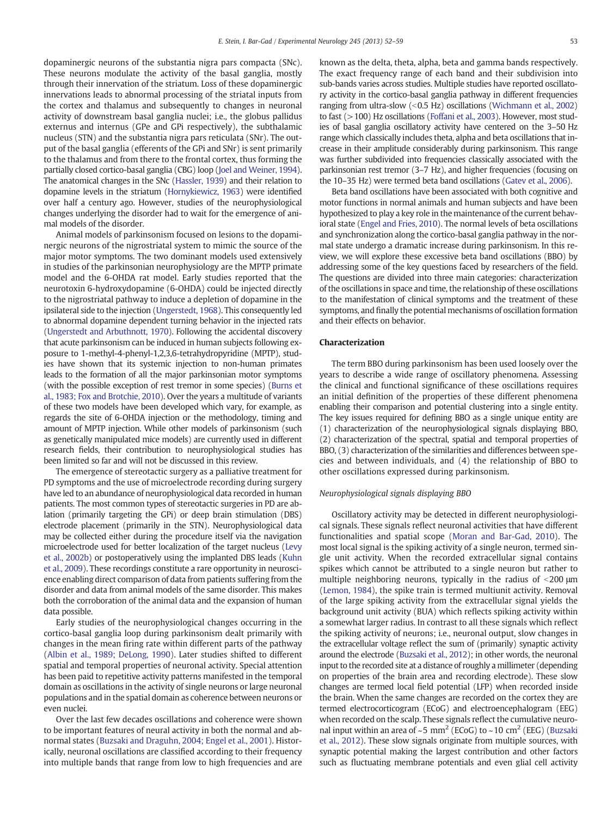dopaminergic neurons of the substantia nigra pars compacta (SNc). These neurons modulate the activity of the basal ganglia, mostly through their innervation of the striatum. Loss of these dopaminergic innervations leads to abnormal processing of the striatal inputs from the cortex and thalamus and subsequently to changes in neuronal activity of downstream basal ganglia nuclei; i.e., the globus pallidus externus and internus (GPe and GPi respectively), the subthalamic nucleus (STN) and the substantia nigra pars reticulata (SNr). The output of the basal ganglia (efferents of the GPi and SNr) is sent primarily to the thalamus and from there to the frontal cortex, thus forming the partially closed cortico-basal ganglia (CBG) loop [\(Joel and Weiner, 1994](#page-6-0)). The anatomical changes in the SNc [\(Hassler, 1939](#page-6-0)) and their relation to dopamine levels in the striatum [\(Hornykiewicz, 1963](#page-6-0)) were identified over half a century ago. However, studies of the neurophysiological changes underlying the disorder had to wait for the emergence of animal models of the disorder.

Animal models of parkinsonism focused on lesions to the dopaminergic neurons of the nigrostriatal system to mimic the source of the major motor symptoms. The two dominant models used extensively in studies of the parkinsonian neurophysiology are the MPTP primate model and the 6-OHDA rat model. Early studies reported that the neurotoxin 6-hydroxydopamine (6-OHDA) could be injected directly to the nigrostriatal pathway to induce a depletion of dopamine in the ipsilateral side to the injection ([Ungerstedt, 1968\)](#page-7-0). This consequently led to abnormal dopamine dependent turning behavior in the injected rats [\(Ungerstedt and Arbuthnott, 1970\)](#page-7-0). Following the accidental discovery that acute parkinsonism can be induced in human subjects following exposure to 1-methyl-4-phenyl-1,2,3,6-tetrahydropyridine (MPTP), studies have shown that its systemic injection to non-human primates leads to the formation of all the major parkinsonian motor symptoms (with the possible exception of rest tremor in some species) [\(Burns et](#page-6-0) [al., 1983; Fox and Brotchie, 2010](#page-6-0)). Over the years a multitude of variants of these two models have been developed which vary, for example, as regards the site of 6-OHDA injection or the methodology, timing and amount of MPTP injection. While other models of parkinsonism (such as genetically manipulated mice models) are currently used in different research fields, their contribution to neurophysiological studies has been limited so far and will not be discussed in this review.

The emergence of stereotactic surgery as a palliative treatment for PD symptoms and the use of microelectrode recording during surgery have led to an abundance of neurophysiological data recorded in human patients. The most common types of stereotactic surgeries in PD are ablation (primarily targeting the GPi) or deep brain stimulation (DBS) electrode placement (primarily in the STN). Neurophysiological data may be collected either during the procedure itself via the navigation microelectrode used for better localization of the target nucleus [\(Levy](#page-7-0) [et al., 2002b](#page-7-0)) or postoperatively using the implanted DBS leads [\(Kuhn](#page-7-0) [et al., 2009](#page-7-0)). These recordings constitute a rare opportunity in neuroscience enabling direct comparison of data from patients suffering from the disorder and data from animal models of the same disorder. This makes both the corroboration of the animal data and the expansion of human data possible.

Early studies of the neurophysiological changes occurring in the cortico-basal ganglia loop during parkinsonism dealt primarily with changes in the mean firing rate within different parts of the pathway [\(Albin et al., 1989; DeLong, 1990\)](#page-6-0). Later studies shifted to different spatial and temporal properties of neuronal activity. Special attention has been paid to repetitive activity patterns manifested in the temporal domain as oscillations in the activity of single neurons or large neuronal populations and in the spatial domain as coherence between neurons or even nuclei.

Over the last few decades oscillations and coherence were shown to be important features of neural activity in both the normal and abnormal states ([Buzsaki and Draguhn, 2004; Engel et al., 2001\)](#page-6-0). Historically, neuronal oscillations are classified according to their frequency into multiple bands that range from low to high frequencies and are known as the delta, theta, alpha, beta and gamma bands respectively. The exact frequency range of each band and their subdivision into sub-bands varies across studies. Multiple studies have reported oscillatory activity in the cortico-basal ganglia pathway in different frequencies ranging from ultra-slow  $($  < 0.5 Hz) oscillations [\(Wichmann et al., 2002](#page-7-0)) to fast (>100) Hz oscillations [\(Foffani et al., 2003](#page-6-0)). However, most studies of basal ganglia oscillatory activity have centered on the 3–50 Hz range which classically includes theta, alpha and beta oscillations that increase in their amplitude considerably during parkinsonism. This range was further subdivided into frequencies classically associated with the parkinsonian rest tremor (3–7 Hz), and higher frequencies (focusing on the 10–35 Hz) were termed beta band oscillations [\(Gatev et al., 2006](#page-6-0)).

Beta band oscillations have been associated with both cognitive and motor functions in normal animals and human subjects and have been hypothesized to play a key role in the maintenance of the current behavioral state ([Engel and Fries, 2010](#page-6-0)). The normal levels of beta oscillations and synchronization along the cortico-basal ganglia pathway in the normal state undergo a dramatic increase during parkinsonism. In this review, we will explore these excessive beta band oscillations (BBO) by addressing some of the key questions faced by researchers of the field. The questions are divided into three main categories: characterization of the oscillations in space and time, the relationship of these oscillations to the manifestation of clinical symptoms and the treatment of these symptoms, and finally the potential mechanisms of oscillation formation and their effects on behavior.

### Characterization

The term BBO during parkinsonism has been used loosely over the years to describe a wide range of oscillatory phenomena. Assessing the clinical and functional significance of these oscillations requires an initial definition of the properties of these different phenomena enabling their comparison and potential clustering into a single entity. The key issues required for defining BBO as a single unique entity are (1) characterization of the neurophysiological signals displaying BBO, (2) characterization of the spectral, spatial and temporal properties of BBO, (3) characterization of the similarities and differences between species and between individuals, and (4) the relationship of BBO to other oscillations expressed during parkinsonism.

#### Neurophysiological signals displaying BBO

Oscillatory activity may be detected in different neurophysiological signals. These signals reflect neuronal activities that have different functionalities and spatial scope ([Moran and Bar-Gad, 2010\)](#page-7-0). The most local signal is the spiking activity of a single neuron, termed single unit activity. When the recorded extracellular signal contains spikes which cannot be attributed to a single neuron but rather to multiple neighboring neurons, typically in the radius of  $\leq$ 200  $\mu$ m [\(Lemon, 1984](#page-7-0)), the spike train is termed multiunit activity. Removal of the large spiking activity from the extracellular signal yields the background unit activity (BUA) which reflects spiking activity within a somewhat larger radius. In contrast to all these signals which reflect the spiking activity of neurons; i.e., neuronal output, slow changes in the extracellular voltage reflect the sum of (primarily) synaptic activity around the electrode [\(Buzsaki et al., 2012](#page-6-0)); in other words, the neuronal input to the recorded site at a distance of roughly a millimeter (depending on properties of the brain area and recording electrode). These slow changes are termed local field potential (LFP) when recorded inside the brain. When the same changes are recorded on the cortex they are termed electrocorticogram (ECoG) and electroencephalogram (EEG) when recorded on the scalp. These signals reflect the cumulative neuronal input within an area of  $\sim$  5 mm<sup>2</sup> (ECoG) to  $\sim$  10 cm<sup>2</sup> (EEG) ([Buzsaki](#page-6-0) [et al., 2012](#page-6-0)). These slow signals originate from multiple sources, with synaptic potential making the largest contribution and other factors such as fluctuating membrane potentials and even glial cell activity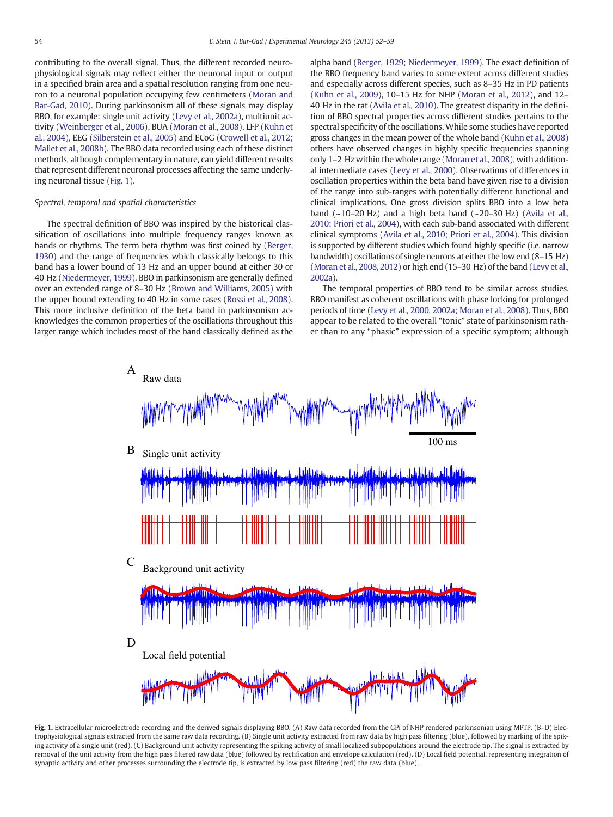contributing to the overall signal. Thus, the different recorded neurophysiological signals may reflect either the neuronal input or output in a specified brain area and a spatial resolution ranging from one neuron to a neuronal population occupying few centimeters [\(Moran and](#page-7-0) [Bar-Gad, 2010](#page-7-0)). During parkinsonism all of these signals may display BBO, for example: single unit activity [\(Levy et al., 2002a](#page-7-0)), multiunit activity ([Weinberger et al., 2006](#page-7-0)), BUA [\(Moran et al., 2008](#page-7-0)), LFP ([Kuhn et](#page-6-0) [al., 2004](#page-6-0)), EEG [\(Silberstein et al., 2005\)](#page-7-0) and ECoG [\(Crowell et al., 2012;](#page-6-0) [Mallet et al., 2008b\)](#page-6-0). The BBO data recorded using each of these distinct methods, although complementary in nature, can yield different results that represent different neuronal processes affecting the same underlying neuronal tissue (Fig. 1).

#### Spectral, temporal and spatial characteristics

The spectral definition of BBO was inspired by the historical classification of oscillations into multiple frequency ranges known as bands or rhythms. The term beta rhythm was first coined by ([Berger,](#page-6-0) [1930\)](#page-6-0) and the range of frequencies which classically belongs to this band has a lower bound of 13 Hz and an upper bound at either 30 or 40 Hz [\(Niedermeyer, 1999](#page-7-0)). BBO in parkinsonism are generally defined over an extended range of 8–30 Hz ([Brown and Williams, 2005](#page-6-0)) with the upper bound extending to 40 Hz in some cases ([Rossi et al., 2008\)](#page-7-0). This more inclusive definition of the beta band in parkinsonism acknowledges the common properties of the oscillations throughout this larger range which includes most of the band classically defined as the alpha band [\(Berger, 1929; Niedermeyer, 1999](#page-6-0)). The exact definition of the BBO frequency band varies to some extent across different studies and especially across different species, such as 8–35 Hz in PD patients [\(Kuhn et al., 2009](#page-7-0)), 10–15 Hz for NHP [\(Moran et al., 2012\)](#page-7-0), and 12– 40 Hz in the rat ([Avila et al., 2010\)](#page-6-0). The greatest disparity in the definition of BBO spectral properties across different studies pertains to the spectral specificity of the oscillations.While some studies have reported gross changes in the mean power of the whole band [\(Kuhn et al., 2008](#page-7-0)) others have observed changes in highly specific frequencies spanning only 1–2 Hz within the whole range ([Moran et al., 2008](#page-7-0)), with additional intermediate cases [\(Levy et al., 2000\)](#page-7-0). Observations of differences in oscillation properties within the beta band have given rise to a division of the range into sub-ranges with potentially different functional and clinical implications. One gross division splits BBO into a low beta band  $(-10-20$  Hz) and a high beta band  $(-20-30$  Hz) [\(Avila et al.,](#page-6-0) [2010; Priori et al., 2004\)](#page-6-0), with each sub-band associated with different clinical symptoms ([Avila et al., 2010; Priori et al., 2004\)](#page-6-0). This division is supported by different studies which found highly specific (i.e. narrow bandwidth) oscillations of single neurons at either the low end (8–15 Hz) [\(Moran et al., 2008, 2012\)](#page-7-0) or high end (15–30 Hz) of the band ([Levy et al.,](#page-7-0) [2002a\)](#page-7-0).

The temporal properties of BBO tend to be similar across studies. BBO manifest as coherent oscillations with phase locking for prolonged periods of time [\(Levy et al., 2000, 2002a; Moran et al., 2008](#page-7-0)). Thus, BBO appear to be related to the overall "tonic" state of parkinsonism rather than to any "phasic" expression of a specific symptom; although



Fig. 1. Extracellular microelectrode recording and the derived signals displaying BBO. (A) Raw data recorded from the GPi of NHP rendered parkinsonian using MPTP. (B-D) Electrophysiological signals extracted from the same raw data recording. (B) Single unit activity extracted from raw data by high pass filtering (blue), followed by marking of the spiking activity of a single unit (red). (C) Background unit activity representing the spiking activity of small localized subpopulations around the electrode tip. The signal is extracted by removal of the unit activity from the high pass filtered raw data (blue) followed by rectification and envelope calculation (red). (D) Local field potential, representing integration of synaptic activity and other processes surrounding the electrode tip, is extracted by low pass filtering (red) the raw data (blue).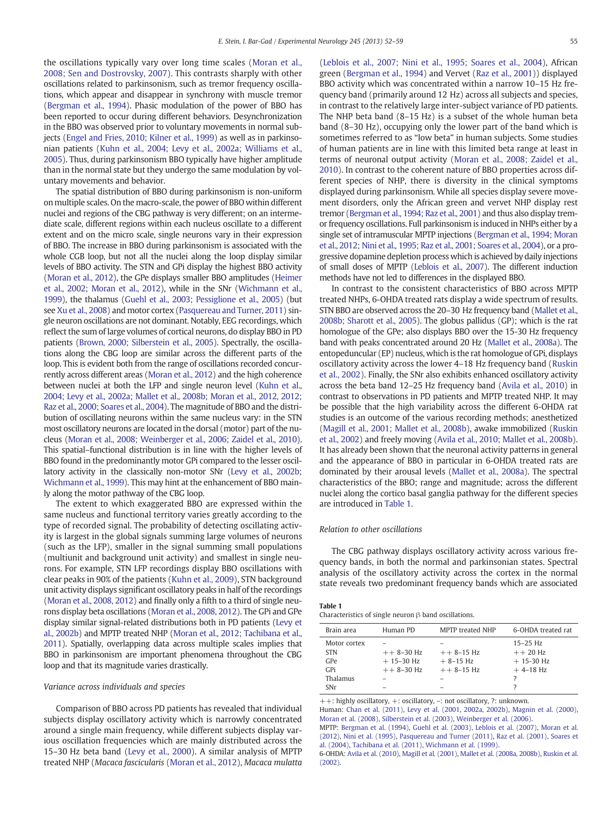the oscillations typically vary over long time scales [\(Moran et al.,](#page-7-0) [2008; Sen and Dostrovsky, 2007\)](#page-7-0). This contrasts sharply with other oscillations related to parkinsonism, such as tremor frequency oscillations, which appear and disappear in synchrony with muscle tremor [\(Bergman et al., 1994\)](#page-6-0). Phasic modulation of the power of BBO has been reported to occur during different behaviors. Desynchronization in the BBO was observed prior to voluntary movements in normal subjects [\(Engel and Fries, 2010; Kilner et al., 1999\)](#page-6-0) as well as in parkinsonian patients [\(Kuhn et al., 2004; Levy et al., 2002a; Williams et al.,](#page-6-0) [2005](#page-6-0)). Thus, during parkinsonism BBO typically have higher amplitude than in the normal state but they undergo the same modulation by voluntary movements and behavior.

The spatial distribution of BBO during parkinsonism is non-uniform on multiple scales. On the macro-scale, the power of BBO within different nuclei and regions of the CBG pathway is very different; on an intermediate scale, different regions within each nucleus oscillate to a different extent and on the micro scale, single neurons vary in their expression of BBO. The increase in BBO during parkinsonism is associated with the whole CGB loop, but not all the nuclei along the loop display similar levels of BBO activity. The STN and GPi display the highest BBO activity [\(Moran et al., 2012\)](#page-7-0), the GPe displays smaller BBO amplitudes [\(Heimer](#page-6-0) [et al., 2002; Moran et al., 2012\)](#page-6-0), while in the SNr ([Wichmann et al.,](#page-7-0) [1999](#page-7-0)), the thalamus [\(Guehl et al., 2003; Pessiglione et al., 2005\)](#page-6-0) (but see [Xu et al., 2008\)](#page-7-0) and motor cortex [\(Pasquereau and Turner, 2011](#page-7-0)) single neuron oscillations are not dominant. Notably, EEG recordings, which reflect the sum of large volumes of cortical neurons, do display BBO in PD patients [\(Brown, 2000; Silberstein et al., 2005](#page-6-0)). Spectrally, the oscillations along the CBG loop are similar across the different parts of the loop. This is evident both from the range of oscillations recorded concurrently across different areas [\(Moran et al., 2012\)](#page-7-0) and the high coherence between nuclei at both the LFP and single neuron level ([Kuhn et al.,](#page-6-0) [2004; Levy et al., 2002a; Mallet et al., 2008b; Moran et al., 2012, 2012;](#page-6-0) [Raz et al., 2000; Soares et al., 2004](#page-6-0)). The magnitude of BBO and the distribution of oscillating neurons within the same nucleus vary: in the STN most oscillatory neurons are located in the dorsal (motor) part of the nucleus [\(Moran et al., 2008; Weinberger et al., 2006; Zaidel et al., 2010](#page-7-0)). This spatial–functional distribution is in line with the higher levels of BBO found in the predominantly motor GPi compared to the lesser oscillatory activity in the classically non-motor SNr [\(Levy et al., 2002b;](#page-7-0) [Wichmann et al., 1999](#page-7-0)). This may hint at the enhancement of BBO mainly along the motor pathway of the CBG loop.

The extent to which exaggerated BBO are expressed within the same nucleus and functional territory varies greatly according to the type of recorded signal. The probability of detecting oscillating activity is largest in the global signals summing large volumes of neurons (such as the LFP), smaller in the signal summing small populations (multiunit and background unit activity) and smallest in single neurons. For example, STN LFP recordings display BBO oscillations with clear peaks in 90% of the patients ([Kuhn et al., 2009](#page-7-0)), STN background unit activity displays significant oscillatory peaks in half of the recordings [\(Moran et al., 2008, 2012\)](#page-7-0) and finally only a fifth to a third of single neurons display beta oscillations [\(Moran et al., 2008, 2012](#page-7-0)). The GPi and GPe display similar signal-related distributions both in PD patients [\(Levy et](#page-7-0) [al., 2002b](#page-7-0)) and MPTP treated NHP [\(Moran et al., 2012; Tachibana et al.,](#page-7-0) [2011](#page-7-0)). Spatially, overlapping data across multiple scales implies that BBO in parkinsonism are important phenomena throughout the CBG loop and that its magnitude varies drastically.

#### Variance across individuals and species

Comparison of BBO across PD patients has revealed that individual subjects display oscillatory activity which is narrowly concentrated around a single main frequency, while different subjects display various oscillation frequencies which are mainly distributed across the 15–30 Hz beta band [\(Levy et al., 2000\)](#page-7-0). A similar analysis of MPTP treated NHP (Macaca fascicularis [\(Moran et al., 2012](#page-7-0)), Macaca mulatta [\(Leblois et al., 2007; Nini et al., 1995; Soares et al., 2004\)](#page-7-0), African green ([Bergman et al., 1994](#page-6-0)) and Vervet ([Raz et al., 2001\)](#page-7-0)) displayed BBO activity which was concentrated within a narrow 10–15 Hz frequency band (primarily around 12 Hz) across all subjects and species, in contrast to the relatively large inter-subject variance of PD patients. The NHP beta band (8–15 Hz) is a subset of the whole human beta band (8–30 Hz), occupying only the lower part of the band which is sometimes referred to as "low beta" in human subjects. Some studies of human patients are in line with this limited beta range at least in terms of neuronal output activity [\(Moran et al., 2008; Zaidel et al.,](#page-7-0) [2010\)](#page-7-0). In contrast to the coherent nature of BBO properties across different species of NHP, there is diversity in the clinical symptoms displayed during parkinsonism. While all species display severe movement disorders, only the African green and vervet NHP display rest tremor ([Bergman et al., 1994; Raz et al., 2001\)](#page-6-0) and thus also display tremor frequency oscillations. Full parkinsonism is induced in NHPs either by a single set of intramuscular MPTP injections ([Bergman et al., 1994; Moran](#page-6-0) [et al., 2012; Nini et al., 1995; Raz et al., 2001; Soares et al., 2004](#page-6-0)), or a progressive dopamine depletion process which is achieved by daily injections of small doses of MPTP ([Leblois et al., 2007](#page-7-0)). The different induction methods have not led to differences in the displayed BBO.

In contrast to the consistent characteristics of BBO across MPTP treated NHPs, 6-OHDA treated rats display a wide spectrum of results. STN BBO are observed across the 20–30 Hz frequency band ([Mallet et al.,](#page-7-0) [2008b; Sharott et al., 2005\)](#page-7-0). The globus pallidus (GP); which is the rat homologue of the GPe; also displays BBO over the 15-30 Hz frequency band with peaks concentrated around 20 Hz [\(Mallet et al., 2008a](#page-7-0)). The entopeduncular (EP) nucleus, which is the rat homologue of GPi, displays oscillatory activity across the lower 4–18 Hz frequency band ([Ruskin](#page-7-0) [et al., 2002](#page-7-0)). Finally, the SNr also exhibits enhanced oscillatory activity across the beta band 12–25 Hz frequency band ([Avila et al., 2010](#page-6-0)) in contrast to observations in PD patients and MPTP treated NHP. It may be possible that the high variability across the different 6-OHDA rat studies is an outcome of the various recording methods; anesthetized [\(Magill et al., 2001; Mallet et al., 2008b](#page-7-0)), awake immobilized [\(Ruskin](#page-7-0) [et al., 2002](#page-7-0)) and freely moving [\(Avila et al., 2010; Mallet et al., 2008b](#page-6-0)). It has already been shown that the neuronal activity patterns in general and the appearance of BBO in particular in 6-OHDA treated rats are dominated by their arousal levels [\(Mallet et al., 2008a](#page-7-0)). The spectral characteristics of the BBO; range and magnitude; across the different nuclei along the cortico basal ganglia pathway for the different species are introduced in Table 1.

#### Relation to other oscillations

The CBG pathway displays oscillatory activity across various frequency bands, in both the normal and parkinsonian states. Spectral analysis of the oscillatory activity across the cortex in the normal state reveals two predominant frequency bands which are associated

#### Table 1

Characteristics of single neuron β band oscillations.

| Brain area                                           | Human PD                                    | <b>MPTP</b> treated NHP                    | 6-OHDA treated rat                                         |
|------------------------------------------------------|---------------------------------------------|--------------------------------------------|------------------------------------------------------------|
| Motor cortex<br><b>STN</b><br>GPe<br>GPi<br>Thalamus | $++$ 8-30 Hz<br>$+15-30$ Hz<br>$++$ 8-30 Hz | $++$ 8-15 Hz<br>$+8-15$ Hz<br>$++$ 8-15 Hz | $15 - 25$ Hz<br>$++ 20 Hz$<br>$+ 15 - 30$ Hz<br>$+4-18$ Hz |
| <b>SNr</b>                                           |                                             |                                            |                                                            |

++: highly oscillatory, +: oscillatory, –: not oscillatory, ?: unknown. Human: [Chan et al. \(2011\),](#page-6-0) [Levy et al. \(2001,](#page-7-0) [2002a, 2002b](#page-7-0)), [Magnin et al. \(2000\),](#page-7-0) [Moran et al. \(2008\),](#page-7-0) [Silberstein et al. \(2003\)](#page-7-0), [Weinberger et al. \(2006\).](#page-7-0)

MPTP: [Bergman et al. \(1994\)](#page-6-0), [Guehl et al. \(2003\)](#page-6-0), [Leblois et al. \(2007\),](#page-7-0) [Moran et al.](#page-7-0) [\(2012\)](#page-7-0), [Nini et al. \(1995\),](#page-7-0) [Pasquereau and Turner \(2011\)](#page-7-0), [Raz et al. \(2001\),](#page-7-0) [Soares et](#page-7-0) [al. \(2004\)](#page-7-0), [Tachibana et al. \(2011\)](#page-7-0), [Wichmann et al. \(1999\)](#page-7-0).

<sup>6-</sup>OHDA: [Avila et al. \(2010\),](#page-6-0) [Magill et al. \(2001\)](#page-7-0), [Mallet et al. \(2008a, 2008b\)](#page-7-0), [Ruskin et al.](#page-7-0) [\(2002\)](#page-7-0).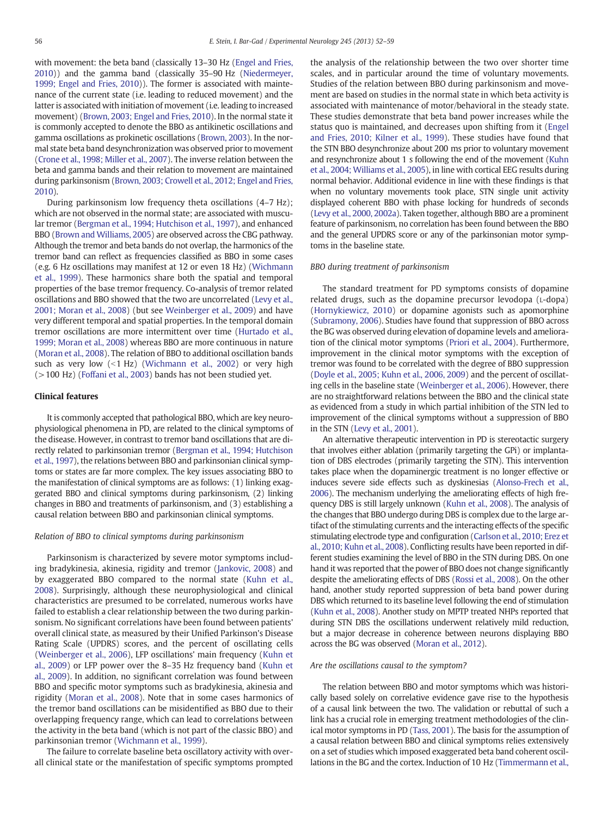with movement: the beta band (classically 13–30 Hz ([Engel and Fries,](#page-6-0) [2010\)](#page-6-0)) and the gamma band (classically 35–90 Hz [\(Niedermeyer,](#page-7-0) [1999; Engel and Fries, 2010\)](#page-7-0)). The former is associated with maintenance of the current state (i.e. leading to reduced movement) and the latter is associated with initiation of movement (i.e. leading to increased movement) [\(Brown, 2003; Engel and Fries, 2010\)](#page-6-0). In the normal state it is commonly accepted to denote the BBO as antikinetic oscillations and gamma oscillations as prokinetic oscillations [\(Brown, 2003\)](#page-6-0). In the normal state beta band desynchronization was observed prior to movement [\(Crone et al., 1998; Miller et al., 2007](#page-6-0)). The inverse relation between the beta and gamma bands and their relation to movement are maintained during parkinsonism ([Brown, 2003; Crowell et al., 2012; Engel and Fries,](#page-6-0) [2010](#page-6-0)).

During parkinsonism low frequency theta oscillations (4–7 Hz); which are not observed in the normal state; are associated with muscular tremor [\(Bergman et al., 1994; Hutchison et al., 1997\)](#page-6-0), and enhanced BBO ([Brown and Williams, 2005\)](#page-6-0) are observed across the CBG pathway. Although the tremor and beta bands do not overlap, the harmonics of the tremor band can reflect as frequencies classified as BBO in some cases (e.g. 6 Hz oscillations may manifest at 12 or even 18 Hz) [\(Wichmann](#page-7-0) [et al., 1999\)](#page-7-0). These harmonics share both the spatial and temporal properties of the base tremor frequency. Co-analysis of tremor related oscillations and BBO showed that the two are uncorrelated ([Levy et al.,](#page-7-0) [2001; Moran et al., 2008\)](#page-7-0) (but see [Weinberger et al., 2009\)](#page-7-0) and have very different temporal and spatial properties. In the temporal domain tremor oscillations are more intermittent over time ([Hurtado et al.,](#page-6-0) [1999; Moran et al., 2008](#page-6-0)) whereas BBO are more continuous in nature [\(Moran et al., 2008](#page-7-0)). The relation of BBO to additional oscillation bands such as very low  $($ <1 Hz) [\(Wichmann et al., 2002\)](#page-7-0) or very high (>100 Hz) [\(Foffani et al., 2003\)](#page-6-0) bands has not been studied yet.

#### Clinical features

It is commonly accepted that pathological BBO, which are key neurophysiological phenomena in PD, are related to the clinical symptoms of the disease. However, in contrast to tremor band oscillations that are directly related to parkinsonian tremor [\(Bergman et al., 1994; Hutchison](#page-6-0) [et al., 1997](#page-6-0)), the relations between BBO and parkinsonian clinical symptoms or states are far more complex. The key issues associating BBO to the manifestation of clinical symptoms are as follows: (1) linking exaggerated BBO and clinical symptoms during parkinsonism, (2) linking changes in BBO and treatments of parkinsonism, and (3) establishing a causal relation between BBO and parkinsonian clinical symptoms.

#### Relation of BBO to clinical symptoms during parkinsonism

Parkinsonism is characterized by severe motor symptoms including bradykinesia, akinesia, rigidity and tremor [\(Jankovic, 2008\)](#page-6-0) and by exaggerated BBO compared to the normal state ([Kuhn et al.,](#page-7-0) [2008\)](#page-7-0). Surprisingly, although these neurophysiological and clinical characteristics are presumed to be correlated, numerous works have failed to establish a clear relationship between the two during parkinsonism. No significant correlations have been found between patients' overall clinical state, as measured by their Unified Parkinson's Disease Rating Scale (UPDRS) scores, and the percent of oscillating cells [\(Weinberger et al., 2006\)](#page-7-0), LFP oscillations' main frequency ([Kuhn et](#page-7-0) [al., 2009\)](#page-7-0) or LFP power over the 8–35 Hz frequency band [\(Kuhn et](#page-7-0) [al., 2009\)](#page-7-0). In addition, no significant correlation was found between BBO and specific motor symptoms such as bradykinesia, akinesia and rigidity ([Moran et al., 2008](#page-7-0)). Note that in some cases harmonics of the tremor band oscillations can be misidentified as BBO due to their overlapping frequency range, which can lead to correlations between the activity in the beta band (which is not part of the classic BBO) and parkinsonian tremor [\(Wichmann et al., 1999](#page-7-0)).

The failure to correlate baseline beta oscillatory activity with overall clinical state or the manifestation of specific symptoms prompted the analysis of the relationship between the two over shorter time scales, and in particular around the time of voluntary movements. Studies of the relation between BBO during parkinsonism and movement are based on studies in the normal state in which beta activity is associated with maintenance of motor/behavioral in the steady state. These studies demonstrate that beta band power increases while the status quo is maintained, and decreases upon shifting from it ([Engel](#page-6-0) [and Fries, 2010; Kilner et al., 1999\)](#page-6-0). These studies have found that the STN BBO desynchronize about 200 ms prior to voluntary movement and resynchronize about 1 s following the end of the movement ([Kuhn](#page-6-0) [et al., 2004; Williams et al., 2005](#page-6-0)), in line with cortical EEG results during normal behavior. Additional evidence in line with these findings is that when no voluntary movements took place, STN single unit activity displayed coherent BBO with phase locking for hundreds of seconds [\(Levy et al., 2000, 2002a](#page-7-0)). Taken together, although BBO are a prominent feature of parkinsonism, no correlation has been found between the BBO and the general UPDRS score or any of the parkinsonian motor symptoms in the baseline state.

#### BBO during treatment of parkinsonism

The standard treatment for PD symptoms consists of dopamine related drugs, such as the dopamine precursor levodopa (L-dopa) [\(Hornykiewicz, 2010](#page-6-0)) or dopamine agonists such as apomorphine [\(Subramony, 2006\)](#page-7-0). Studies have found that suppression of BBO across the BG was observed during elevation of dopamine levels and amelioration of the clinical motor symptoms ([Priori et al., 2004](#page-7-0)). Furthermore, improvement in the clinical motor symptoms with the exception of tremor was found to be correlated with the degree of BBO suppression [\(Doyle et al., 2005; Kuhn et al., 2006, 2009](#page-6-0)) and the percent of oscillating cells in the baseline state [\(Weinberger et al., 2006\)](#page-7-0). However, there are no straightforward relations between the BBO and the clinical state as evidenced from a study in which partial inhibition of the STN led to improvement of the clinical symptoms without a suppression of BBO in the STN [\(Levy et al., 2001](#page-7-0)).

An alternative therapeutic intervention in PD is stereotactic surgery that involves either ablation (primarily targeting the GPi) or implantation of DBS electrodes (primarily targeting the STN). This intervention takes place when the dopaminergic treatment is no longer effective or induces severe side effects such as dyskinesias [\(Alonso-Frech et al.,](#page-6-0) [2006](#page-6-0)). The mechanism underlying the ameliorating effects of high frequency DBS is still largely unknown ([Kuhn et al., 2008](#page-7-0)). The analysis of the changes that BBO undergo during DBS is complex due to the large artifact of the stimulating currents and the interacting effects of the specific stimulating electrode type and configuration ([Carlson et al., 2010; Erez et](#page-6-0) [al., 2010; Kuhn et al., 2008](#page-6-0)). Conflicting results have been reported in different studies examining the level of BBO in the STN during DBS. On one hand it was reported that the power of BBO does not change significantly despite the ameliorating effects of DBS ([Rossi et al., 2008\)](#page-7-0). On the other hand, another study reported suppression of beta band power during DBS which returned to its baseline level following the end of stimulation [\(Kuhn et al., 2008](#page-7-0)). Another study on MPTP treated NHPs reported that during STN DBS the oscillations underwent relatively mild reduction, but a major decrease in coherence between neurons displaying BBO across the BG was observed ([Moran et al., 2012\)](#page-7-0).

#### Are the oscillations causal to the symptom?

The relation between BBO and motor symptoms which was historically based solely on correlative evidence gave rise to the hypothesis of a causal link between the two. The validation or rebuttal of such a link has a crucial role in emerging treatment methodologies of the clinical motor symptoms in PD [\(Tass, 2001](#page-7-0)). The basis for the assumption of a causal relation between BBO and clinical symptoms relies extensively on a set of studies which imposed exaggerated beta band coherent oscillations in the BG and the cortex. Induction of 10 Hz [\(Timmermann et al.,](#page-7-0)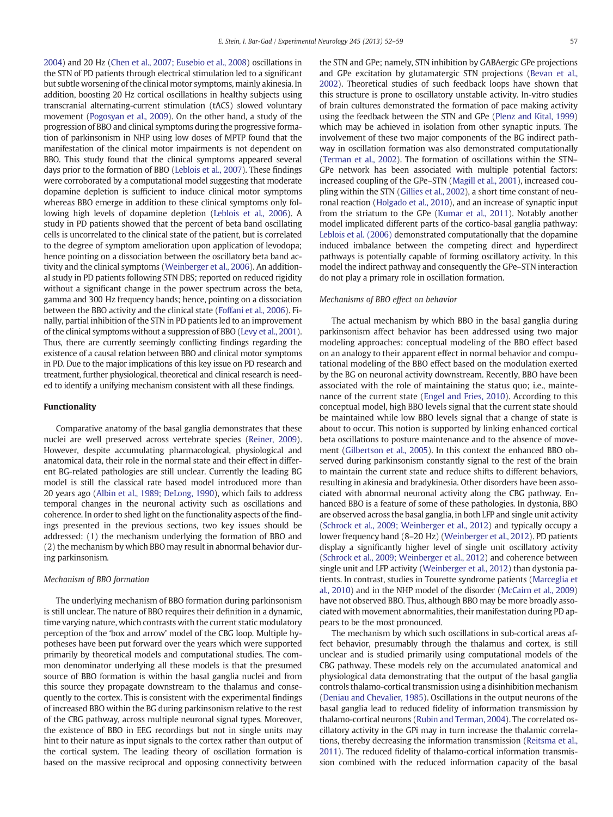[2004](#page-7-0)) and 20 Hz [\(Chen et al., 2007; Eusebio et al., 2008\)](#page-6-0) oscillations in the STN of PD patients through electrical stimulation led to a significant but subtle worsening of the clinical motor symptoms, mainly akinesia. In addition, boosting 20 Hz cortical oscillations in healthy subjects using transcranial alternating-current stimulation (tACS) slowed voluntary movement [\(Pogosyan et al., 2009](#page-7-0)). On the other hand, a study of the progression of BBO and clinical symptoms during the progressive formation of parkinsonism in NHP using low doses of MPTP found that the manifestation of the clinical motor impairments is not dependent on BBO. This study found that the clinical symptoms appeared several days prior to the formation of BBO [\(Leblois et al., 2007](#page-7-0)). These findings were corroborated by a computational model suggesting that moderate dopamine depletion is sufficient to induce clinical motor symptoms whereas BBO emerge in addition to these clinical symptoms only following high levels of dopamine depletion ([Leblois et al., 2006](#page-7-0)). A study in PD patients showed that the percent of beta band oscillating cells is uncorrelated to the clinical state of the patient, but is correlated to the degree of symptom amelioration upon application of levodopa; hence pointing on a dissociation between the oscillatory beta band activity and the clinical symptoms [\(Weinberger et al., 2006](#page-7-0)). An additional study in PD patients following STN DBS; reported on reduced rigidity without a significant change in the power spectrum across the beta, gamma and 300 Hz frequency bands; hence, pointing on a dissociation between the BBO activity and the clinical state [\(Foffani et al., 2006](#page-6-0)). Finally, partial inhibition of the STN in PD patients led to an improvement of the clinical symptoms without a suppression of BBO [\(Levy et al., 2001](#page-7-0)). Thus, there are currently seemingly conflicting findings regarding the existence of a causal relation between BBO and clinical motor symptoms in PD. Due to the major implications of this key issue on PD research and treatment, further physiological, theoretical and clinical research is needed to identify a unifying mechanism consistent with all these findings.

#### Functionality

Comparative anatomy of the basal ganglia demonstrates that these nuclei are well preserved across vertebrate species ([Reiner, 2009](#page-7-0)). However, despite accumulating pharmacological, physiological and anatomical data, their role in the normal state and their effect in different BG-related pathologies are still unclear. Currently the leading BG model is still the classical rate based model introduced more than 20 years ago ([Albin et al., 1989; DeLong, 1990\)](#page-6-0), which fails to address temporal changes in the neuronal activity such as oscillations and coherence. In order to shed light on the functionality aspects of the findings presented in the previous sections, two key issues should be addressed: (1) the mechanism underlying the formation of BBO and (2) the mechanism by which BBO may result in abnormal behavior during parkinsonism.

#### Mechanism of BBO formation

The underlying mechanism of BBO formation during parkinsonism is still unclear. The nature of BBO requires their definition in a dynamic, time varying nature, which contrasts with the current static modulatory perception of the 'box and arrow' model of the CBG loop. Multiple hypotheses have been put forward over the years which were supported primarily by theoretical models and computational studies. The common denominator underlying all these models is that the presumed source of BBO formation is within the basal ganglia nuclei and from this source they propagate downstream to the thalamus and consequently to the cortex. This is consistent with the experimental findings of increased BBO within the BG during parkinsonism relative to the rest of the CBG pathway, across multiple neuronal signal types. Moreover, the existence of BBO in EEG recordings but not in single units may hint to their nature as input signals to the cortex rather than output of the cortical system. The leading theory of oscillation formation is based on the massive reciprocal and opposing connectivity between

the STN and GPe; namely, STN inhibition by GABAergic GPe projections and GPe excitation by glutamatergic STN projections [\(Bevan et al.,](#page-6-0) [2002](#page-6-0)). Theoretical studies of such feedback loops have shown that this structure is prone to oscillatory unstable activity. In-vitro studies of brain cultures demonstrated the formation of pace making activity using the feedback between the STN and GPe ([Plenz and Kital, 1999](#page-7-0)) which may be achieved in isolation from other synaptic inputs. The involvement of these two major components of the BG indirect pathway in oscillation formation was also demonstrated computationally [\(Terman et al., 2002](#page-7-0)). The formation of oscillations within the STN– GPe network has been associated with multiple potential factors: increased coupling of the GPe–STN ([Magill et al., 2001\)](#page-7-0), increased coupling within the STN [\(Gillies et al., 2002\)](#page-6-0), a short time constant of neuronal reaction ([Holgado et al., 2010](#page-6-0)), and an increase of synaptic input from the striatum to the GPe ([Kumar et al., 2011](#page-7-0)). Notably another model implicated different parts of the cortico-basal ganglia pathway: [Leblois et al. \(2006\)](#page-7-0) demonstrated computationally that the dopamine induced imbalance between the competing direct and hyperdirect pathways is potentially capable of forming oscillatory activity. In this model the indirect pathway and consequently the GPe–STN interaction do not play a primary role in oscillation formation.

#### Mechanisms of BBO effect on behavior

The actual mechanism by which BBO in the basal ganglia during parkinsonism affect behavior has been addressed using two major modeling approaches: conceptual modeling of the BBO effect based on an analogy to their apparent effect in normal behavior and computational modeling of the BBO effect based on the modulation exerted by the BG on neuronal activity downstream. Recently, BBO have been associated with the role of maintaining the status quo; i.e., maintenance of the current state [\(Engel and Fries, 2010\)](#page-6-0). According to this conceptual model, high BBO levels signal that the current state should be maintained while low BBO levels signal that a change of state is about to occur. This notion is supported by linking enhanced cortical beta oscillations to posture maintenance and to the absence of movement ([Gilbertson et al., 2005\)](#page-6-0). In this context the enhanced BBO observed during parkinsonism constantly signal to the rest of the brain to maintain the current state and reduce shifts to different behaviors, resulting in akinesia and bradykinesia. Other disorders have been associated with abnormal neuronal activity along the CBG pathway. Enhanced BBO is a feature of some of these pathologies. In dystonia, BBO are observed across the basal ganglia, in both LFP and single unit activity [\(Schrock et al., 2009; Weinberger et al., 2012\)](#page-7-0) and typically occupy a lower frequency band (8–20 Hz) [\(Weinberger et al., 2012](#page-7-0)). PD patients display a significantly higher level of single unit oscillatory activity [\(Schrock et al., 2009; Weinberger et al., 2012\)](#page-7-0) and coherence between single unit and LFP activity [\(Weinberger et al., 2012\)](#page-7-0) than dystonia patients. In contrast, studies in Tourette syndrome patients ([Marceglia et](#page-7-0) [al., 2010](#page-7-0)) and in the NHP model of the disorder [\(McCairn et al., 2009](#page-7-0)) have not observed BBO. Thus, although BBO may be more broadly associated with movement abnormalities, their manifestation during PD appears to be the most pronounced.

The mechanism by which such oscillations in sub-cortical areas affect behavior, presumably through the thalamus and cortex, is still unclear and is studied primarily using computational models of the CBG pathway. These models rely on the accumulated anatomical and physiological data demonstrating that the output of the basal ganglia controls thalamo-cortical transmission using a disinhibition mechanism [\(Deniau and Chevalier, 1985](#page-6-0)). Oscillations in the output neurons of the basal ganglia lead to reduced fidelity of information transmission by thalamo-cortical neurons ([Rubin and Terman, 2004](#page-7-0)). The correlated oscillatory activity in the GPi may in turn increase the thalamic correlations, thereby decreasing the information transmission ([Reitsma et al.,](#page-7-0) [2011](#page-7-0)). The reduced fidelity of thalamo-cortical information transmission combined with the reduced information capacity of the basal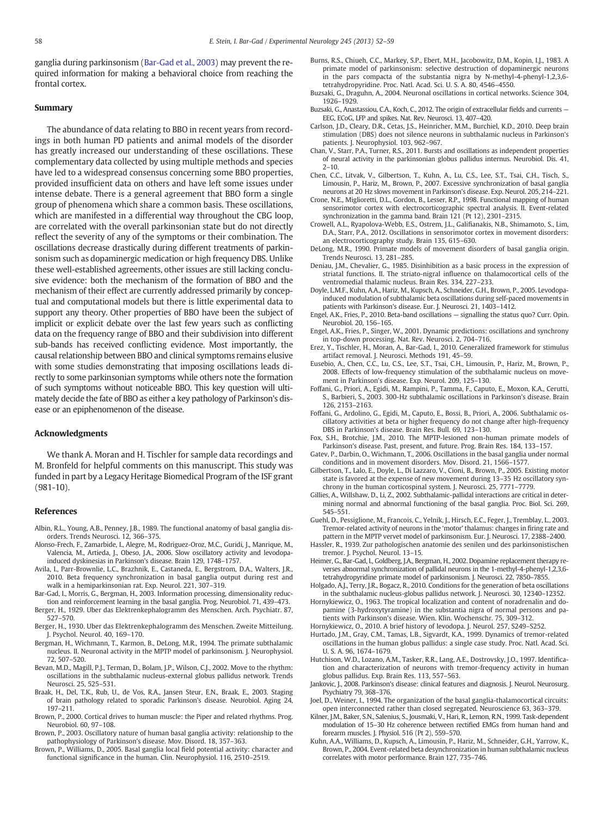<span id="page-6-0"></span>ganglia during parkinsonism (Bar-Gad et al., 2003) may prevent the required information for making a behavioral choice from reaching the frontal cortex.

#### Summary

The abundance of data relating to BBO in recent years from recordings in both human PD patients and animal models of the disorder has greatly increased our understanding of these oscillations. These complementary data collected by using multiple methods and species have led to a widespread consensus concerning some BBO properties, provided insufficient data on others and have left some issues under intense debate. There is a general agreement that BBO form a single group of phenomena which share a common basis. These oscillations, which are manifested in a differential way throughout the CBG loop, are correlated with the overall parkinsonian state but do not directly reflect the severity of any of the symptoms or their combination. The oscillations decrease drastically during different treatments of parkinsonism such as dopaminergic medication or high frequency DBS. Unlike these well-established agreements, other issues are still lacking conclusive evidence: both the mechanism of the formation of BBO and the mechanism of their effect are currently addressed primarily by conceptual and computational models but there is little experimental data to support any theory. Other properties of BBO have been the subject of implicit or explicit debate over the last few years such as conflicting data on the frequency range of BBO and their subdivision into different sub-bands has received conflicting evidence. Most importantly, the causal relationship between BBO and clinical symptoms remains elusive with some studies demonstrating that imposing oscillations leads directly to some parkinsonian symptoms while others note the formation of such symptoms without noticeable BBO. This key question will ultimately decide the fate of BBO as either a key pathology of Parkinson's disease or an epiphenomenon of the disease.

#### Acknowledgments

We thank A. Moran and H. Tischler for sample data recordings and M. Bronfeld for helpful comments on this manuscript. This study was funded in part by a Legacy Heritage Biomedical Program of the ISF grant (981-10).

#### References

- Albin, R.L., Young, A.B., Penney, J.B., 1989. The functional anatomy of basal ganglia disorders. Trends Neurosci. 12, 366–375.
- Alonso-Frech, F., Zamarbide, I., Alegre, M., Rodriguez-Oroz, M.C., Guridi, J., Manrique, M., Valencia, M., Artieda, J., Obeso, J.A., 2006. Slow oscillatory activity and levodopainduced dyskinesias in Parkinson's disease. Brain 129, 1748–1757.
- Avila, I., Parr-Brownlie, L.C., Brazhnik, E., Castaneda, E., Bergstrom, D.A., Walters, J.R., 2010. Beta frequency synchronization in basal ganglia output during rest and walk in a hemiparkinsonian rat. Exp. Neurol. 221, 307–319.
- Bar-Gad, I., Morris, G., Bergman, H., 2003. Information processing, dimensionality reduction and reinforcement learning in the basal ganglia. Prog. Neurobiol. 71, 439–473.
- Berger, H., 1929. Uber das Elektrenkephalogramm des Menschen. Arch. Psychiatr. 87, 527–570.
- Berger, H., 1930. Uber das Elektrenkephalogramm des Menschen. Zweite Mitteilung. J. Psychol. Neurol. 40, 169–170.
- Bergman, H., Wichmann, T., Karmon, B., DeLong, M.R., 1994. The primate subthalamic nucleus. II. Neuronal activity in the MPTP model of parkinsonism. J. Neurophysiol. 72, 507–520.
- Bevan, M.D., Magill, P.J., Terman, D., Bolam, J.P., Wilson, C.J., 2002. Move to the rhythm: oscillations in the subthalamic nucleus-external globus pallidus network. Trends Neurosci. 25, 525–531.
- Braak, H., Del, T.K., Rub, U., de Vos, R.A., Jansen Steur, E.N., Braak, E., 2003. Staging of brain pathology related to sporadic Parkinson's disease. Neurobiol. Aging 24, 197–211.
- Brown, P., 2000. Cortical drives to human muscle: the Piper and related rhythms. Prog. Neurobiol. 60, 97–108.
- Brown, P., 2003. Oscillatory nature of human basal ganglia activity: relationship to the pathophysiology of Parkinson's disease. Mov. Disord. 18, 357–363.
- Brown, P., Williams, D., 2005. Basal ganglia local field potential activity: character and functional significance in the human. Clin. Neurophysiol. 116, 2510–2519.
- Burns, R.S., Chiueh, C.C., Markey, S.P., Ebert, M.H., Jacobowitz, D.M., Kopin, I.J., 1983. A primate model of parkinsonism: selective destruction of dopaminergic neurons in the pars compacta of the substantia nigra by N-methyl-4-phenyl-1,2,3,6 tetrahydropyridine. Proc. Natl. Acad. Sci. U. S. A. 80, 4546–4550.
- Buzsaki, G., Draguhn, A., 2004. Neuronal oscillations in cortical networks. Science 304, 1926–1929.
- Buzsaki, G., Anastassiou, C.A., Koch, C., 2012. The origin of extracellular fields and currents EEG, ECoG, LFP and spikes. Nat. Rev. Neurosci. 13, 407–420.
- Carlson, J.D., Cleary, D.R., Cetas, J.S., Heinricher, M.M., Burchiel, K.D., 2010. Deep brain stimulation (DBS) does not silence neurons in subthalamic nucleus in Parkinson's patients. J. Neurophysiol. 103, 962–967.
- Chan, V., Starr, P.A., Turner, R.S., 2011. Bursts and oscillations as independent properties of neural activity in the parkinsonian globus pallidus internus. Neurobiol. Dis. 41,  $2 - 10$
- Chen, C.C., Litvak, V., Gilbertson, T., Kuhn, A., Lu, C.S., Lee, S.T., Tsai, C.H., Tisch, S., Limousin, P., Hariz, M., Brown, P., 2007. Excessive synchronization of basal ganglia neurons at 20 Hz slows movement in Parkinson's disease. Exp. Neurol. 205, 214–221.
- Crone, N.E., Miglioretti, D.L., Gordon, B., Lesser, R.P., 1998. Functional mapping of human sensorimotor cortex with electrocorticographic spectral analysis. II. Event-related synchronization in the gamma band. Brain 121 (Pt 12), 2301–2315.
- Crowell, A.L., Ryapolova-Webb, E.S., Ostrem, J.L., Galifianakis, N.B., Shimamoto, S., Lim, D.A., Starr, P.A., 2012. Oscillations in sensorimotor cortex in movement disorders: an electrocorticography study. Brain 135, 615–630.
- DeLong, M.R., 1990. Primate models of movement disorders of basal ganglia origin. Trends Neurosci. 13, 281–285.
- Deniau, J.M., Chevalier, G., 1985. Disinhibition as a basic process in the expression of striatal functions. II. The striato-nigral influence on thalamocortical cells of the ventromedial thalamic nucleus. Brain Res. 334, 227–233.
- Doyle, L.M.F., Kuhn, A.A., Hariz, M., Kupsch, A., Schneider, G.H., Brown, P., 2005. Levodopainduced modulation of subthalamic beta oscillations during self-paced movements in patients with Parkinson's disease. Eur. J. Neurosci. 21, 1403–1412.
- Engel, A.K., Fries, P., 2010. Beta-band oscillations signalling the status quo? Curr. Opin. Neurobiol. 20, 156–165.
- Engel, A.K., Fries, P., Singer, W., 2001. Dynamic predictions: oscillations and synchrony in top-down processing. Nat. Rev. Neurosci. 2, 704–716.
- Erez, Y., Tischler, H., Moran, A., Bar-Gad, I., 2010. Generalized framework for stimulus artifact removal. J. Neurosci. Methods 191, 45–59.
- Eusebio, A., Chen, C.C., Lu, C.S., Lee, S.T., Tsai, C.H., Limousin, P., Hariz, M., Brown, P., 2008. Effects of low-frequency stimulation of the subthalamic nucleus on movement in Parkinson's disease. Exp. Neurol. 209, 125–130.
- Foffani, G., Priori, A., Egidi, M., Rampini, P., Tamma, F., Caputo, E., Moxon, K.A., Cerutti, S., Barbieri, S., 2003. 300-Hz subthalamic oscillations in Parkinson's disease. Brain 126, 2153–2163.
- Foffani, G., Ardolino, G., Egidi, M., Caputo, E., Bossi, B., Priori, A., 2006. Subthalamic oscillatory activities at beta or higher frequency do not change after high-frequency DBS in Parkinson's disease. Brain Res. Bull. 69, 123–130.
- Fox, S.H., Brotchie, J.M., 2010. The MPTP-lesioned non-human primate models of Parkinson's disease. Past, present, and future. Prog. Brain Res. 184, 133–157.
- Gatev, P., Darbin, O., Wichmann, T., 2006. Oscillations in the basal ganglia under normal conditions and in movement disorders. Mov. Disord. 21, 1566–1577.
- Gilbertson, T., Lalo, E., Doyle, L., Di Lazzaro, V., Cioni, B., Brown, P., 2005. Existing motor state is favored at the expense of new movement during 13–35 Hz oscillatory synchrony in the human corticospinal system. J. Neurosci. 25, 7771–7779.
- Gillies, A., Willshaw, D., Li, Z., 2002. Subthalamic-pallidal interactions are critical in determining normal and abnormal functioning of the basal ganglia. Proc. Biol. Sci. 269, 545–551.
- Guehl, D., Pessiglione, M., Francois, C., Yelnik, J., Hirsch, E.C., Feger, J., Tremblay, L., 2003. Tremor-related activity of neurons in the 'motor' thalamus: changes in firing rate and pattern in the MPTP vervet model of parkinsonism. Eur. J. Neurosci. 17, 2388–2400.
- Hassler, R., 1939. Zur pathologischen anatomie des senilen und des parkinsonistischen tremor. J. Psychol. Neurol. 13–15.
- Heimer, G., Bar-Gad, I., Goldberg, J.A., Bergman, H., 2002. Dopamine replacement therapy reverses abnormal synchronization of pallidal neurons in the 1-methyl-4-phenyl-1,2,3,6 tetrahydropyridine primate model of parkinsonism. J. Neurosci. 22, 7850–7855.
- Holgado, A.J., Terry, J.R., Bogacz, R., 2010. Conditions for the generation of beta oscillations in the subthalamic nucleus-globus pallidus network. J. Neurosci. 30, 12340–12352.
- Hornykiewicz, O., 1963. The tropical localization and content of noradrenalin and dopamine (3-hydroxytyramine) in the substantia nigra of normal persons and patients with Parkinson's disease. Wien. Klin. Wochenschr. 75, 309–312.
- Hornykiewicz, O., 2010. A brief history of levodopa. J. Neurol. 257, S249–S252.
- Hurtado, J.M., Gray, C.M., Tamas, L.B., Sigvardt, K.A., 1999. Dynamics of tremor-related oscillations in the human globus pallidus: a single case study. Proc. Natl. Acad. Sci. U. S. A. 96, 1674–1679.
- Hutchison, W.D., Lozano, A.M., Tasker, R.R., Lang, A.E., Dostrovsky, J.O., 1997. Identification and characterization of neurons with tremor-frequency activity in human globus pallidus. Exp. Brain Res. 113, 557–563.
- Jankovic, J., 2008. Parkinson's disease: clinical features and diagnosis. J. Neurol. Neurosurg. Psychiatry 79, 368–376.
- Joel, D., Weiner, I., 1994. The organization of the basal ganglia-thalamocortical circuits: open interconnected rather than closed segregated. Neuroscience 63, 363–379.
- Kilner, J.M., Baker, S.N., Salenius, S., Jousmaki, V., Hari, R., Lemon, R.N., 1999. Task-dependent modulation of 15–30 Hz coherence between rectified EMGs from human hand and forearm muscles. J. Physiol. 516 (Pt 2), 559–570.
- Kuhn, A.A., Williams, D., Kupsch, A., Limousin, P., Hariz, M., Schneider, G.H., Yarrow, K., Brown, P., 2004. Event-related beta desynchronization in human subthalamic nucleus correlates with motor performance. Brain 127, 735–746.